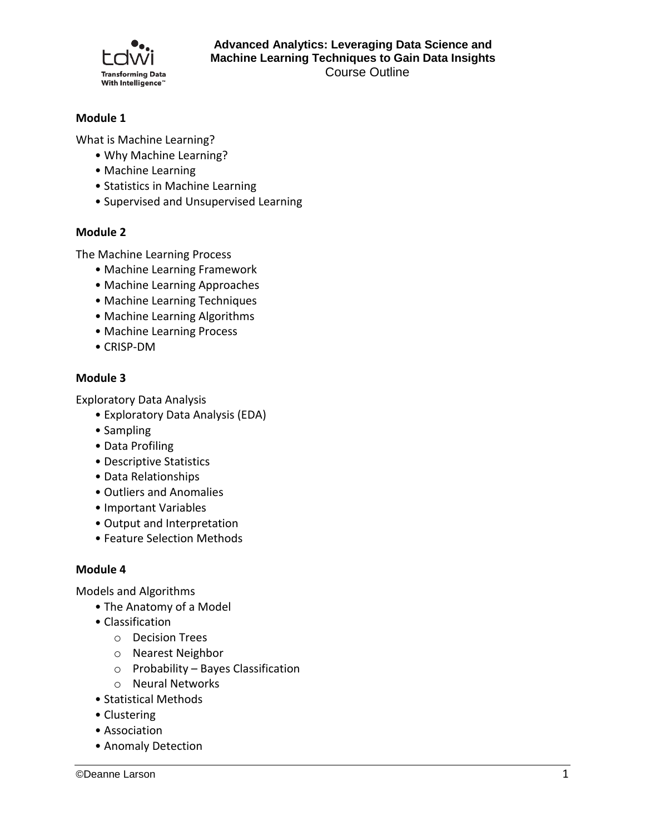

# **Module 1**

What is Machine Learning?

- Why Machine Learning?
- Machine Learning
- Statistics in Machine Learning
- Supervised and Unsupervised Learning

# **Module 2**

The Machine Learning Process

- Machine Learning Framework
- Machine Learning Approaches
- Machine Learning Techniques
- Machine Learning Algorithms
- Machine Learning Process
- CRISP-DM

# **Module 3**

Exploratory Data Analysis

- Exploratory Data Analysis (EDA)
- Sampling
- Data Profiling
- Descriptive Statistics
- Data Relationships
- Outliers and Anomalies
- Important Variables
- Output and Interpretation
- Feature Selection Methods

### **Module 4**

Models and Algorithms

- The Anatomy of a Model
- Classification
	- o Decision Trees
	- o Nearest Neighbor
	- o Probability Bayes Classification
	- o Neural Networks
- Statistical Methods
- Clustering
- Association
- Anomaly Detection